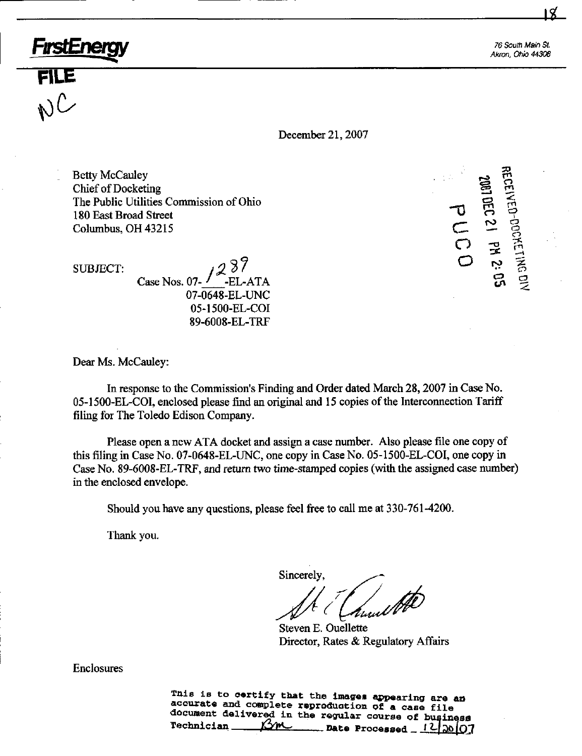76 South Main St Akron, Ohio 44308

50

 $\sim$ 

December 21,2007

 $\sum_{i=1}^{\infty}$   $\sum_{i=1}^{\infty}$ Chief of Docketing<br>The Public Utilities Commission of Ohio The Public Utilities Commission of Ohio  $\mathbf{U} = \mathbf{U} \times \mathbf{U}$ 180 East Broad Street 1  $\sim$   $\sim$  9  $\overline{O}$   $\overline{P}$   $\overline{P}$   $\overline{P}$   $\overline{P}$   $\overline{P}$   $\overline{P}$   $\overline{P}$   $\overline{P}$   $\overline{P}$   $\overline{P}$   $\overline{P}$   $\overline{P}$   $\overline{P}$   $\overline{P}$   $\overline{P}$   $\overline{P}$   $\overline{P}$   $\overline{P}$   $\overline{P}$   $\overline{P}$   $\overline{P}$   $\overline{P}$   $\overline{P}$   $\overline{$ 

?7 O SUBJECT:  $\sqrt{2^{3/2}}$  $Case Nos. 07 - ' ELATA$   $\overline{G}$ 07-0648-EL-UNC 05-1500-EL-COI 89-6008-EL-TRF

Dear Ms. McCauley:

FırstEnerc

FILE ^

 $\bigvee^{\circ}$ 

In response to the Commission's Finding and Order dated March 28,2007 in Case No. 05-1500-EL-COI, enclosed please find an original and 15 copies of the Interconnection Tariff filing for The Toledo Edison Company.

Please open a new ATA docket and assign a case number. Also please file one copy of this filing in Case No. 07-0648-EL-UNC, one copy in Case No. 05-1500-EL-COI, one copy in Case No. 89-6008-EL-TRF, and return two time-stamped copies (with the assigned case number) in the enclosed envelope.

Should you have any questions, please feel free to call me at 330-761-4200.

Thank you.

Sincerely,

Steven E. Ouellette Director, Rates & Regulatory Affairs

Enclosures

This is to certify that the images appearing are an accurate and complete reproduction of a case file document delivered in the regular course of business<br> **Technician**  $\frac{\beta \gamma m}{\beta m}$  nate Processed 1210000 Date Processed  $_{-}$  J<sup>2</sup> $\frac{1}{20}$ |O7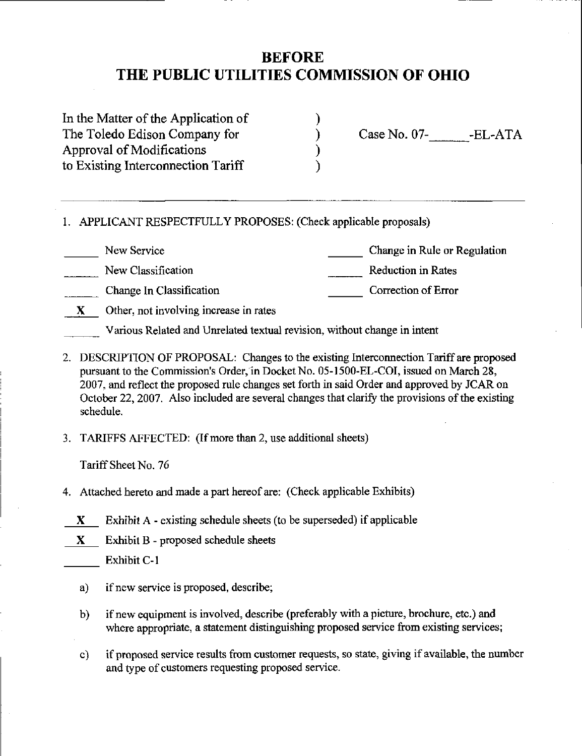# BEFORE THE PUBLIC UTILITIES COMMISSION OF OHIO

In the Matter of the Application of The Toledo Edison Company for Approval of Modifications to Existing Interconnection Tariff

Case No. 07- •EL-ATA

I. APPLICANT RESPECTFULLY PROPOSES: (Check applicable proposals)

New Service

Change in Rule or Regulation

Correction of Error

New Classification

Reduction in Rates

Change In Classification

 $X$  Other, not involving increase in rates

Various Related and Umelated textual revision, without change in intent

- 2. DESCRIPTION OF PROPOSAL: Changes to the existing Interconnection Tariff are proposed pursuant to the Commission's Order, in Docket No. 05-1500-EL-COI, issued on March 28, 2007, and reflect the proposed rule changes set forth in said Order and approved by JCAR on October 22, 2007. Also included are several changes that clarify the provisions of the existing schedule.
- 3. TARIFFS AFFECTED: (Ifmore than 2, use additional sheets)

Tariff Sheet No. 76

- 4. Attached hereto and made a part hereof are: (Check applicable Exhibits)
- $X$  Exhibit A existing schedule sheets (to be superseded) if applicable
- $X$  Exhibit B proposed schedule sheets

Exhibit C-1

- a) if new service is proposed, describe;
- b) if new equipment is involved, describe (preferably with a picture, brochure, etc.) and where appropriate, a statement distinguishing proposed service from existing services;
- c) if proposed service results from customer requests, so state, giving if available, the number and type of customers requesting proposed service.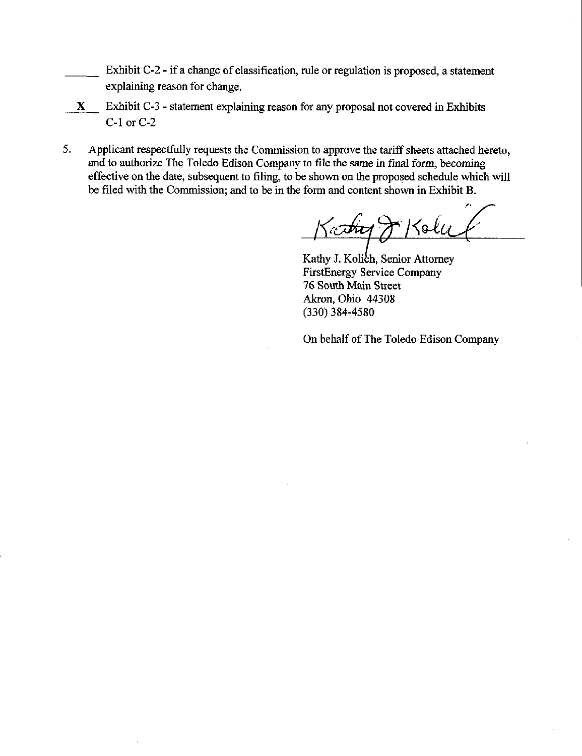- Exhibit C-2 if a change of classification, rule or regulation is proposed, a statement explaining reason for change.
- X Exhibit C-3 statement explaining reason for any proposal not covered in Exhibits C-1 or C-2
- 5. Applicant respectfully requests the Commission to approve the tariff sheets attached hereto, and to authorize The Toledo Edison Company to file the same in final form, becoming effective on the date, subsequent to filing, to be shown on the proposed schedule which will be filed with the Commission; and to be in the form and content shown in Exhibit B.

 $\sqrt{)}$  /  $\sqrt{2}$ 

Kathy J. Kolich, Senior Attorney FirstEnergy Service Company 76 South Main Street Akron, Ohio 44308 (330) 384-4580

On behalf of The Toledo Edison Company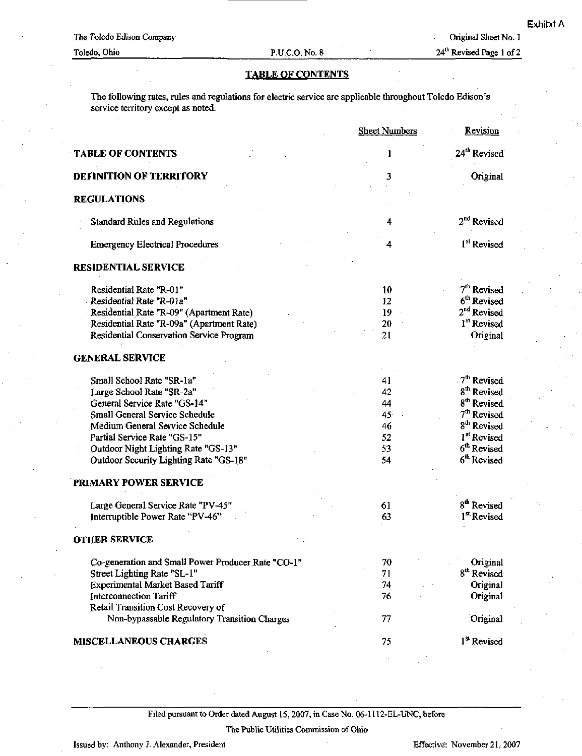24<sup>th</sup> Revised Page 1 of 2

# TABLE OF CONTENTS

The following rates, rules and regulations for electric service are applicable throughout Toledo Edison's service territory except as noted.

|                                                    | <b>Sheet Numbers</b> | Revision                 |
|----------------------------------------------------|----------------------|--------------------------|
| <b>TABLE OF CONTENTS</b>                           |                      | 24 <sup>th</sup> Revised |
| <b>DEFINITION OF TERRITORY</b>                     | 3                    | Original                 |
| <b>REGULATIONS</b>                                 |                      |                          |
| <b>Standard Rules and Regulations</b>              | 4                    | 2 <sup>nd</sup> Revised  |
| <b>Emergency Electrical Procedures</b>             | 4                    | 1 <sup>st</sup> Revised  |
| <b>RESIDENTIAL SERVICE</b>                         |                      |                          |
| Residential Rate "R-01"                            | 10                   | 7 <sup>th</sup> Revised  |
| Residential Rate "R-01a"                           | 12                   | 6 <sup>th</sup> Revised  |
| Residential Rate "R-09" (Apartment Rate)           | 19                   | 2 <sup>nd</sup> Revised  |
| Residential Rate "R-09a" (Apartment Rate)          | 20                   | 1st Revised              |
| Residential Conservation Service Program           | 21                   | Original                 |
| <b>GENERAL SERVICE</b>                             |                      |                          |
| Small School Rate "SR-1a"                          | 41                   | 7 <sup>th</sup> Revised  |
| Large School Rate "SR-2a"                          | 42                   | 8 <sup>th</sup> Revised  |
| General Service Rate "GS-14"                       | 44                   | 8 <sup>th</sup> Revised  |
| Small General Service Schedule                     | 45 <sub>1</sub>      | 7 <sup>th</sup> Revised  |
| Medium General Service Schedule                    | 46                   | 8 <sup>th</sup> Revised  |
| Partial Service Rate "GS-15"                       | 52                   | 1 <sup>st</sup> Revised  |
| Outdoor Night Lighting Rate "GS-13"                | 53                   | 6 <sup>th</sup> Revised  |
| Outdoor Security Lighting Rate "GS-18"             | 54                   | 6 <sup>th</sup> Revised  |
| PRIMARY POWER SERVICE                              |                      |                          |
|                                                    |                      |                          |
| Large General Service Rate "PV-45"                 | 61                   | 8 <sup>th</sup> Revised  |
| Interruptible Power Rate "PV-46"                   | 63                   | 1 <sup>st</sup> Revised  |
| <b>OTHER SERVICE</b>                               |                      |                          |
| Co-generation and Small Power Producer Rate "CO-1" | 70                   | Original                 |
| Street Lighting Rate "SL-1"                        | 71                   | 8 <sup>th</sup> Revised  |
| Experimental Market Based Tariff                   | 74                   | Original                 |
| <b>Interconnection Tariff</b>                      | 76                   | Original                 |
| Retail Transition Cost Recovery of                 |                      |                          |
| Non-bypassable Regulatory Transition Charges       | 77                   | Original                 |
| <b>MISCELLANEOUS CHARGES</b>                       | 75                   | 1 <sup>st</sup> Revised  |

Filed pursuant to Order dated August 15,2007, in Case No. 06-11U-EL-UNC, before

The Public Utilities Commission of Ohio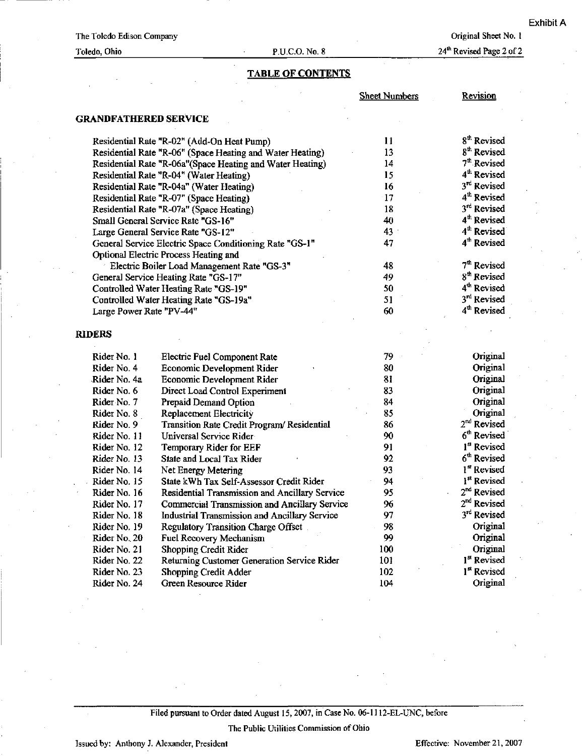Original Sheet No. 1

24<sup>th</sup> Revised Page 2 of 2

# TABLE OF CONTENTS

|                              |                                                           | <b>Sheet Numbers</b> | Revision                |
|------------------------------|-----------------------------------------------------------|----------------------|-------------------------|
| <b>GRANDFATHERED SERVICE</b> |                                                           |                      |                         |
|                              | Residential Rate "R-02" (Add-On Heat Pump)                | 11                   | 8 <sup>th</sup> Revised |
|                              | Residential Rate "R-06" (Space Heating and Water Heating) | 13                   | 8 <sup>th</sup> Revised |
|                              | Residential Rate "R-06a"(Space Heating and Water Heating) | 14                   | 7 <sup>th</sup> Revised |
|                              | Residential Rate "R-04" (Water Heating)                   | 15                   | 4 <sup>th</sup> Revised |
|                              | Residential Rate "R-04a" (Water Heating)                  | 16                   | 3 <sup>rd</sup> Revised |
|                              | Residential Rate "R-07" (Space Heating)                   | 17                   | 4 <sup>th</sup> Revised |
|                              | Residential Rate "R-07a" (Space Heating)                  | 18                   | 3rd Revised             |
|                              | Small General Service Rate "GS-16"                        | 40                   | 4 <sup>th</sup> Revised |
|                              | Large General Service Rate "GS-12"                        | 43                   | 4 <sup>th</sup> Revised |
|                              | General Service Electric Space Conditioning Rate "GS-1"   | 47                   | 4 <sup>th</sup> Revised |
|                              | Optional Electric Process Heating and                     |                      |                         |
|                              | Electric Boiler Load Management Rate "GS-3"               | 48                   | 7 <sup>th</sup> Revised |
|                              | General Service Heating Rate "GS-17"                      | 49                   | 8 <sup>th</sup> Revised |
|                              | Controlled Water Heating Rate "GS-19"                     | 50                   | 4 <sup>th</sup> Revised |
|                              | Controlled Water Heating Rate "GS-19a"                    | 51                   | 3 <sup>rd</sup> Revised |
| Large Power Rate "PV-44"     |                                                           | 60                   | 4 <sup>th</sup> Revised |
|                              |                                                           |                      |                         |
| <b>RIDERS</b>                |                                                           |                      |                         |
| Rider No. 1                  | Electric Fuel Component Rate                              | 79                   | Original                |
| Rider No. 4                  | Economic Development Rider                                | 80                   | Original                |
| Rider No. 4a                 | Economic Development Rider                                | 81                   | Original                |
| Rider No. 6                  | Direct Load Control Experiment                            | 83                   | Original                |
| Rider No. 7                  | Prepaid Demand Option                                     | 84                   | Original                |
| Rider No. 8                  | Replacement Electricity                                   | 85                   | Original                |
| Rider No. 9                  | Transition Rate Credit Program/Residential                | 86                   | $2nd$ Revised           |
| Rider No. 11                 | Universal Service Rider                                   | 90                   | 6 <sup>th</sup> Revised |
| Rider No. 12                 | Temporary Rider for EEF                                   | 91                   | 1 <sup>st</sup> Revised |
| Rider No. 13                 | <b>State and Local Tax Rider</b>                          | 92                   | 6 <sup>th</sup> Revised |
| Rider No. 14                 | Net Energy Metering                                       | 93                   | 1st Revised             |
| Rider No. 15                 | State kWh Tax Self-Assessor Credit Rider                  | 94                   | I <sup>st</sup> Revised |
| Rider No. 16                 | Residential Transmission and Ancillary Service            | 95                   | 2 <sup>nd</sup> Revised |
| Rider No. 17                 | Commercial Transmission and Ancillary Service             | 96                   | $2nd$ Revised           |
| Rider No. 18                 | <b>Industrial Transmission and Ancillary Service</b>      | 97                   | 3rd Revised             |
| Rider No. 19                 | Regulatory Transition Charge Offset                       | 98                   | Original                |
| Rider No. 20                 | Fuel Recovery Mechanism                                   | 99                   | Original                |
| Rider No. 21                 | Shopping Credit Rider                                     | 100                  | Original                |
| Rider No. 22                 | Returning Customer Generation Service Rider               | 101                  | 1 <sup>st</sup> Revised |
| Rider No. 23                 | Shopping Credit Adder                                     | 102                  | 1 <sup>st</sup> Revised |
| Rider No. 24                 | Green Resource Rider                                      | 104                  | Original                |
|                              |                                                           |                      |                         |

Filed pursuant to Order dated August 15, 2007, in Case No. 06-1112-EL-UNC, before

The Public Utilities Commission of Ohio

Issued by: Anthony J. Alexander, President Effective: November 21, 2007

Toledo, Ohio P.U.C.O. No. 8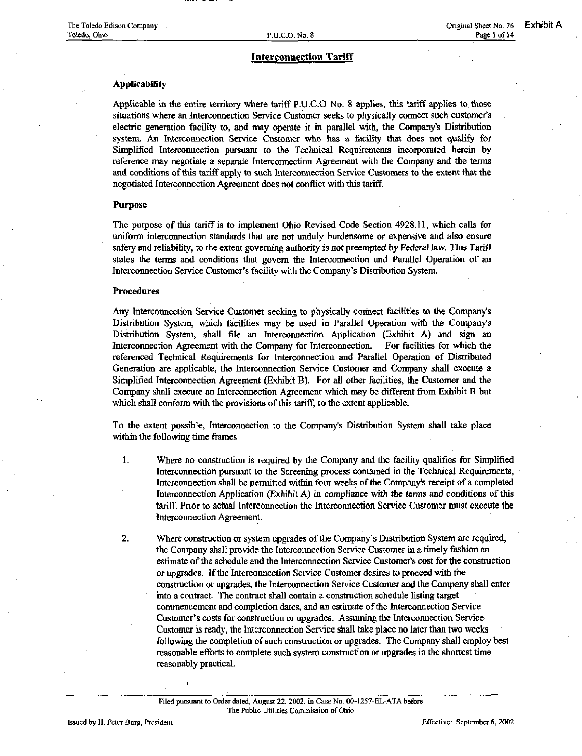# Applicability

Applicable in the entire territory where tariff P.U.C.O No. 8 applies, this tariff applies to those situations where an Interconnection Service Customer seeks to physically connect such customer's electric generation facility to, and may operate it in parallel with, the Company's Distribution system. An Interconnection Service Customer who has a facility that does not qualify for Simplified Interconnection pursuant to the Technical Requirements incorporated herein by reference may negotiate a separate Interconnection Agreement with the Company and the terms and conditions of this tariff apply to such Interconnection Service Customers to the extent that the negotiated Interconnection Agreement does not conflict with this tariff.

### Purpose

The purpose of this tariff is to implement Ohio Revised Code Section 4928.11, which calls for uniform interconnection standards that are not unduly burdensome or expensive and also ensure safety and reliability, to the extent governing authority is not preempted by Federal law. This Tariff states the terms and conditions that govern the Interconnection and Parallel Operation of an Interconnection Service Customer's facility with the Company's Distribution System.

# Procedures

Any Interconnection Service Customer seeking to physically connect facilities to the Company's Distribution System, which facilities may be used in Parallel Operation with the Companys Distribution System, shall file an Interconnection Application (Exhibit A) and sign an Interconnection Agreement with the Company for Interconnection. For facilities for which the referenced Technical Requirements for Interconnection and Parallel Operation of Distributed Generation are applicable, the Interconnection Service Customer and Company shall execute a Simplified Interconnection Agreement (Exhibit B). For all other facilities, the Customer and the Company shall execute an Interconnection Agreement which may be different from Exhibit B but which shall conform with the provisions of this tariff, to the extent applicable.

To the extent possible, Interconnection to the Company's Distribution System shall take place within the following time frames

- 1. Where no construction is required by the Company and the facility qualifies for Simplified Interconnection pursuant to the Screening process contained in the Technical Requirements, Interconnection shall be permitted wdthin four weeks of the Company's receipt of a completed Intereonnection Application (Exhibit A) in compliance with the terms and conditions of this tariff. Prior to actual Interconnection the Interconnection Service Customer must execute the Interconnection Agreement.
- 2. Where construction or system upgrades of the Company's Distribution System are required, the Company shall provide the Interconnection Service Customer in a timely fashion an estimate of the schedule and the Interconnection Service Customer's cost for the construction or upgrades. If the Interconnection Service Customer desires to proceed with the construction or upgrades, the Interconnection Service Customer and the Company shall enter into a contract. The contract shall contain a construction schedule listing target commencement and completion dates, and an estimate of the Interconnection Service Customer's costs for construction or upgrades. Assuming the Interconnection Service Customer is ready, the Interconnection Service shall take place no later than two weeks following the completion of such construction or upgrades. The Company shall employ best reasonable efforts to complete such system construction or upgrades in the shortest time reasonably practical.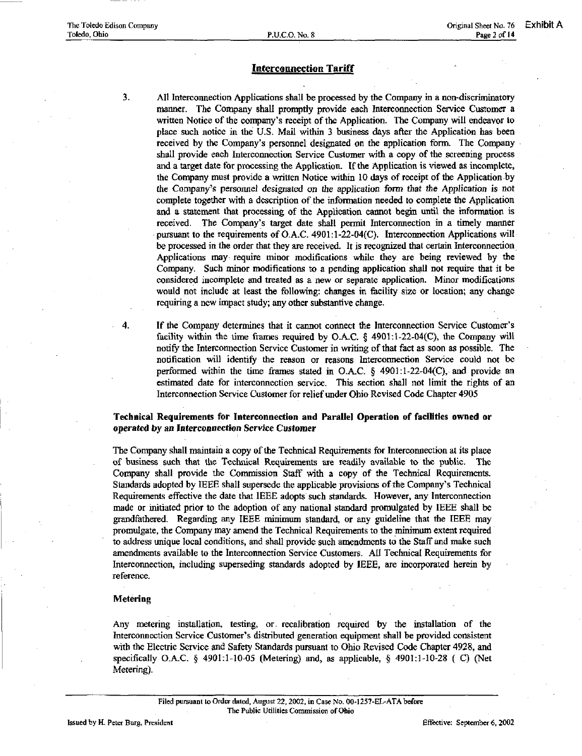- 3. All Interconnection Applications shall be processed by the Company in a non-discriminatory manner. The Company shall promptly provide each Interconnection Service Customer a written Notice of the company's receipt of the Application. The Company wall endeavor to place such notice in the U.S. Mail within 3 business days after the Application has been received by the Company's personnel designated on the application form. The Company shall provide each Interconnection Service Customer with a copy of the screening process and a target date for processing the Application. If the Application is viewed as incomplete, the Company must provide a written Notice within 10 days of receipt of the Application by the Company's personnel designated on the application form that the Application is not complete together with a description of the information needed to complete the Application and a statement that processing of the Application cannot begin until the information is received. The Company's target date shall permit Interconnection in a timely maimer pursuant to the requirements of O.A.C. 4901:l-22-04(C). Interconnection Applications mil be processed in the order that they are received. It is recognized that certain Interconnection Applications may require minor modifications while they are being reviewed by the Company. Such minor modifications to a pending application shall not require that it be considered incoinplete and treated as a new or separate application. Minor modifications would not include at least the following: changes in facility size or location; any change requiring a new impact study; any other substantive change.
- 4. If the Company determines that it cannot connect the Interconnection Service Customer's facility within the time frames required by O.A.C.  $\S$  4901:1-22-04(C), the Company will notify the Interconnection Service Customer in writing of that fact as soon as possible. The notification will identify the reason or reasons Interconnection Service could not be performed within the time frames stated in O.A.C.  $\S$  4901:1-22-04(C), and provide an estimated date for interconnection service. This section shall not limit the rights of an Interconnection Service Customer for relief under Ohio Revised Code Chapter 4905

# Technical Requirements for Interconnection and Parallel Operation of facilities owned or operated by an Interconnection Service Customer

The Company shall maintain a copy of the Technical Requirements for Interconnection at its place of business such that the Technical Requirements are readily available to the public. The Company shall provide the Commission Staff with a copy of the Technical Requirements. Standards adopted by IEEE shall supersede the applicable provisions of the Company's Technical Requirements effective the date that IEEE adopts such standards. However, any Interconnection made or initiated prior to the adoption of any national standard promulgated by IEEE shall be grandfathered. Regarding any IEEE minimum standard, or any guideline that the IEEE may promulgate, the Company may amend the Technical Requirements to the minimum extent required to address unique local conditions, and shall provide such amendments to the Staff and make such amendments available to the Interconnection Service Customers. All Technical Requirements for Interconnection, including superseding standards adopted by IEEE, are incorporated herein by reference.

# Metering

Any metering installation, testing, or recalibration required by the installation of the Interconnection Service Customer's distributed generation equipment shall be provided consistent with the Electric Service and Safety Standards pursuant to Ohio Revised Code Chapter 4928, and specifically O.A.C. § 4901:1-10-05 (Metering) and, as applicable, § 4901:1-10-28 ( C) (Net Metering).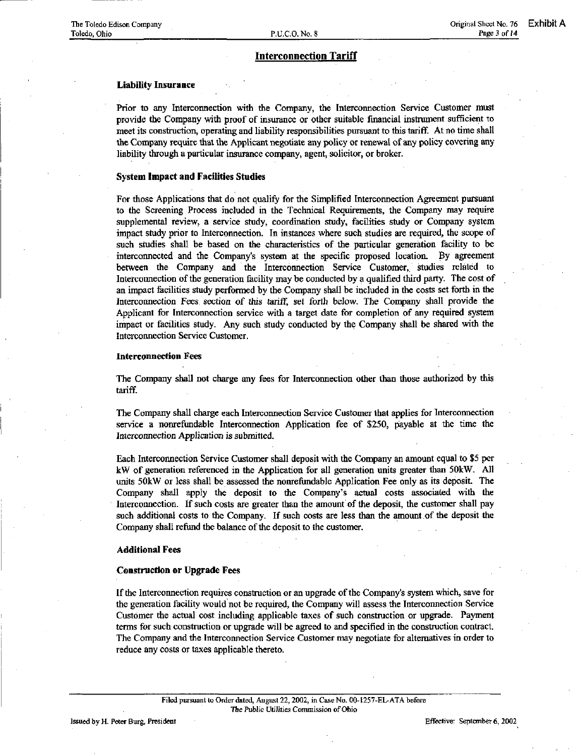# Liability Insurance

Prior to any Interconnection wiih the Company, the Interconnection Service Customer must provide the Company with proof of insurance or other suitable financial instrument sufficient to meet its construction, operating and liability responsibilities pursuant to this tariff. At no time shall the Company require that the Applicant negotiate any policy or renewal of any policy covering any liability through a particular insurance company, agent, solicitor, or broker.

# System Impact and Facilities Studies

For those Applications that do not qualify for the Simplified Interconnection Agreement pursuant to the Screening Process included in the Technical Requirements, the Company may require supplemental review, a service study, coordination study, facilities study or Company system impact study prior to Interconnection. In instances where such studies are required, the scope of such studies shall be based on the characteristics of the particular generation facility to be interconnected and the Company's system at the specific proposed location. By agreement between the Company and the Interconnection Service Customer, studies related to Intercormection of the generation facility may be conducted by a qualified third party. The cost of an impact facilities study performed by the Company shall be included in the costs set forth in the Interconnection Fees section of this tariff, set forth below. The Company shall provide the Applicant for Interconnection service with a target date for completion of any required system impact or facilities study. Any such study conducted by the Company shall be shared with the Intercormection Service Customer.

# Interconnection Fees

The Company shall not charge any fees for Interconnection other than those authorized by this tariff.

The Company shall charge each Interconnection Service Customer that applies for Interconnection service a nonrefundable Interconnection Application fee of \$250, payable at the time the Interconnection Application is submitted.

Each Interconnection Service Customer shall deposit with the Company an amount equal to \$5 per kW of generation referenced in the Application for all generation units greater than 50kW. All units 50kW or less shall be assessed the nonrefiindable Application Fee only as its deposit. The Company shall apply the deposit to the Company's actual costs associated with the Interconnection. If such costs are greater than the amount of the deposit, the customer shall pay such additional costs to the Company. If such costs are less than the amount of the deposit the Company shall refiand the balance of the deposit to the customer.

#### Additional Fees

#### Construction or Upgrade Fees

If the Intercoimection requires construction or an upgrade of the Company's system which, save for the generation facility would not be required, the Company will assess the Interconnection Service Customer the actual cost includmg applicable taxes of such construction or upgrade. Payment terms for such construction or upgrade will be agreed to and specified in the construction contract. The Company and the Interconnection Service Customer may negotiate for alternatives in order to reduce any costs or taxes applicable thereto.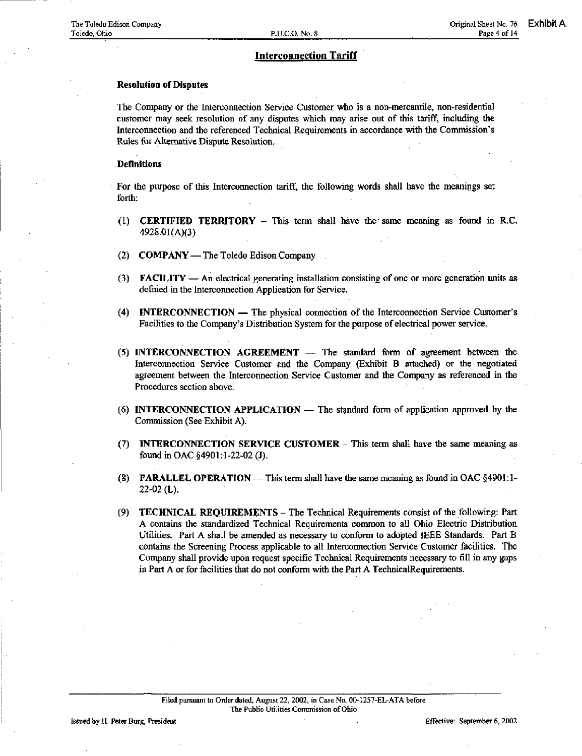# Resolution of Disputes

The Company or the Interconnection Service Customer who is a non-mercantile, non-residential customer may seek resolution of any disputes which may arise out of this tariff, including the Interconnection and the referenced Technical Requirements in accordance with the Commission's Rules for Alternative Dispute Resolution.

# Definitions

For the purpose of this Interconnection tariff, the following words shall have the meanings set forth:

- (1) **CERTIFIED TERRITORY** This term shall have the same meaning as found in R.C. 4928.01(A)(3)
- (2) COMPANY The Toledo Edison Company
- (3) FACILITY An electrical generating installation consisting of one or more generation units as defined in the Interconnection Application for Service.
- (4) INTERCONNECTION The physical connection of the Interconnection Service Customer's Facilities to the Company's Distribution System for the purpose of electrical power service.
- (5) INTERCONNECTION AGREEMENT The standard form of agreement between the Interconnection Service Customer and the Company (Exhibit B attached) or the negotiated agreement between the Interconnection Service Customer and the Company as referenced in the Procedures section above.
- (6) INTERCONNECTION APPLICATION The standard form of application approved by the Commission (See Exhibit A).
- (7) INTERCONNECTION SERVICE CUSTOMER This term shall have the same meaning as found in OAC §4901:1-22-02 (J).
- (8) PARALLEL OPERATION This term shall have the same meaning as found in OAC §4901:1- 22-02 (L).
- (9) TECHNICAL REQUIREMENTS The Technical Requirements consist of the following: Part A contains the standardized Technical Requirements common to all Ohio Electric Distribution Utilities. Part A shall be amended as necessary to conform to adopted IEEE Standards. Part B contains the Screening Process applicable to all Interconnection Service Customer facilities. The Company shall provide upon request specific Technical Requirements necessary to fill in any gaps in Part A or for facilities that do not conform with the Part A TechnicalRequirements.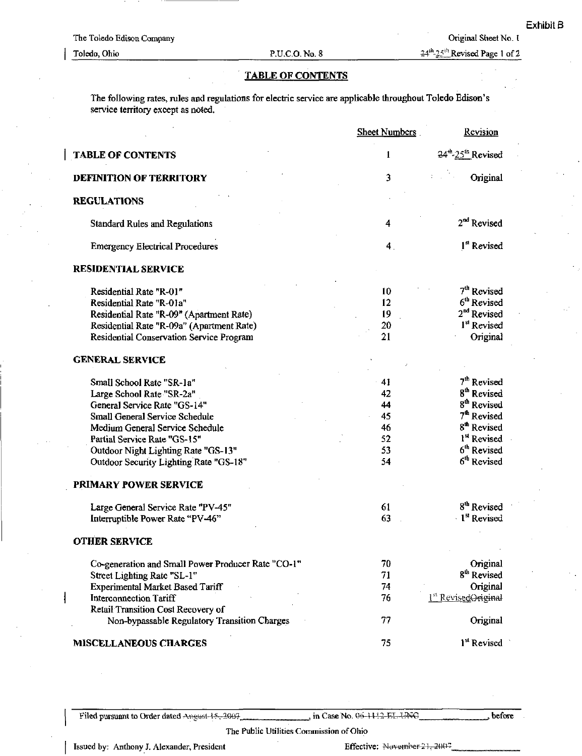# TABLE OF CONTENTS

The following rates, rules and regulations for electric service are applicable throughout Toledo Edison's service territory except as noted.

|                                                    | <b>Sheet Numbers</b> | Revision                                   |
|----------------------------------------------------|----------------------|--------------------------------------------|
| <b>TABLE OF CONTENTS</b>                           | $\mathbf{1}$         | 24 <sup>th</sup> -25 <sup>th</sup> Revised |
| DEFINITION OF TERRITORY                            | 3                    | Original                                   |
| <b>REGULATIONS</b>                                 |                      |                                            |
| <b>Standard Rules and Regulations</b>              | 4                    | 2 <sup>nd</sup> Revised                    |
| <b>Emergency Electrical Procedures</b>             | 4 <sub>1</sub>       | 1 <sup>st</sup> Revised                    |
| <b>RESIDENTIAL SERVICE</b>                         |                      |                                            |
| Residential Rate "R-01"                            | 10                   | 7 <sup>th</sup> Revised                    |
| Residential Rate "R-01a"                           | 12                   | 6 <sup>th</sup> Revised                    |
| Residential Rate "R-09" (Apartment Rate)           | 19                   | 2 <sup>nd</sup> Revised                    |
| Residential Rate "R-09a" (Apartment Rate)          | 20                   | 1 <sup>st</sup> Revised                    |
| Residential Conservation Service Program           | 21                   | Original                                   |
| <b>GENERAL SERVICE</b>                             |                      |                                            |
| Small School Rate "SR-1a"                          | $-41$                | 7 <sup>th</sup> Revised                    |
| Large School Rate "SR-2a"                          | 42                   | 8 <sup>th</sup> Revised                    |
| General Service Rate "GS-14"                       | 44                   | 8 <sup>th</sup> Revised                    |
| Small General Service Schedule                     | 45                   | 7 <sup>th</sup> Revised                    |
| Medium General Service Schedule                    | 46                   | 8 <sup>th</sup> Revised                    |
| Partial Service Rate "GS-15"                       | 52                   | 1 <sup>st</sup> Revised                    |
| Outdoor Night Lighting Rate "GS-13"                | 53                   | $6th$ Revised                              |
| Outdoor Security Lighting Rate "GS-18"             | 54                   | 6 <sup>th</sup> Revised                    |
| PRIMARY POWER SERVICE                              |                      |                                            |
| Large General Service Rate "PV-45"                 | 61                   | 8 <sup>th</sup> Revised                    |
| Interruptible Power Rate "PV-46"                   | 63                   | Ist Revised                                |
| <b>OTHER SERVICE</b>                               |                      |                                            |
| Co-generation and Small Power Producer Rate "CO-1" | 70                   | Original                                   |
| Street Lighting Rate "SL-1"                        | 71                   | 8 <sup>th</sup> Revised                    |
| <b>Experimental Market Based Tariff</b>            | 74                   | Original                                   |
| <b>Interconnection Tariff</b>                      | 76                   | 1st RevisedOrieinal                        |
| Retail Transition Cost Recovery of                 |                      |                                            |
| Non-bypassable Regulatory Transition Charges       | 77                   | Original                                   |
| <b>MISCELLANEOUS CHARGES</b>                       | 75                   | 1 <sup>st</sup> Revised                    |

Filed pursuant to Order dated Angust 45, 2007 [18] in Case No. 06-1112-EL-UNG

before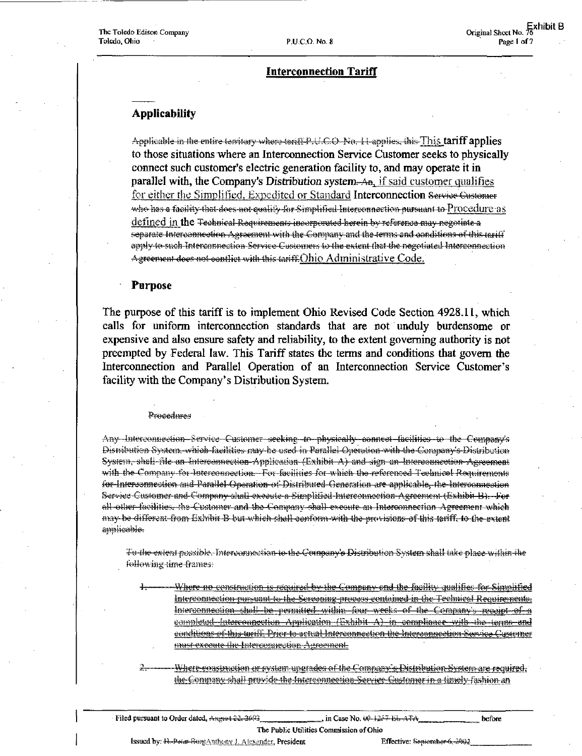# **Applicability**

Applicable in the entire territory where terrifi P.U.C.O. No. 11 applies, this This tariff applies to those situations where an Interconnection Service Customer seeks to physically connect such customer's electric generation facility to, and may operate it in parallel with, the Company's Distribution system. An, if said customer qualifies for either the Simplified, Expedited or Standard Interconnection Service Gustomer who has a facility that does not qualify for Simplified Interconnection pursuant to Procedure as defined in the <del>Technical Requirements incorporated herein by reference may negotiate a</del> separate Interconnection Agreement with the Company and the terms and conditions of this mail apply to such Interconnection Service Customers to the extent that the negotiated Interconnection Agreement does not conflict with this tariff. Ohio Administrative Code.

# **Purpose**

The purpose of this tariff is to implement Ohio Revised Code Section 4928.11, which calls for uniform interconnection standards that are not unduly burdensome or expensive and also ensure safety and reliability, to the extent governing authority is not preempted by Federal law. This Tariff states the terms and conditions that govern the Interconnection and Parallel Operation of an Interconnection Service Customer's facility with the Company's Distribution System.

# Procedures

Any Interconnection Service Customer seeking to physically connect facilities to the Company's Distribution System, which facilities may be used in Parallel Operation with the Company's Distribution System, shall file an Interconnection Application (Exhibit A) and sign an Interconnection Agreement with the Company for Interconnection. For facilities for which the referenced Technical Requirements for Interconnection and Parallel Operation of Distributed Ceneration are applicable, the Interconnection Service Customer and Company shall execute a Simplified Interconnection Agreement (Exhibit B). For all other facilities, the Customer and the Company shall execute an Interconnection Agreement which may be different from Exhibit B but which shall conform with the provisions of this tariff, to the extent amplicable.

To the extent possible. Interconnection to the Company's Distribution System shall take place within the following time frames:

Where no construction is required by the Company and the facility qualifies for Simplified Interconnection pursuant to the Sereoning process contained in the Technical Requirements. Interconnection shall be permitted within four weeks of the Company's receipt of a completed interconnection Amplication (Exhibit A) in compliance with the terms and conditions of this teriff. Prior to actual Interconnection the Interconnection Service Customer <u>must exceute the Intercompetion Agreement.</u>

Where construction or system ungrades of the Company's Distribution System are required. the Company shall provide the Interconnection Service Customer in a timely fashion an

before

Issued by: R.-Pecas-BurgAnthony J. Algsander, President

Effective: September 6, 2002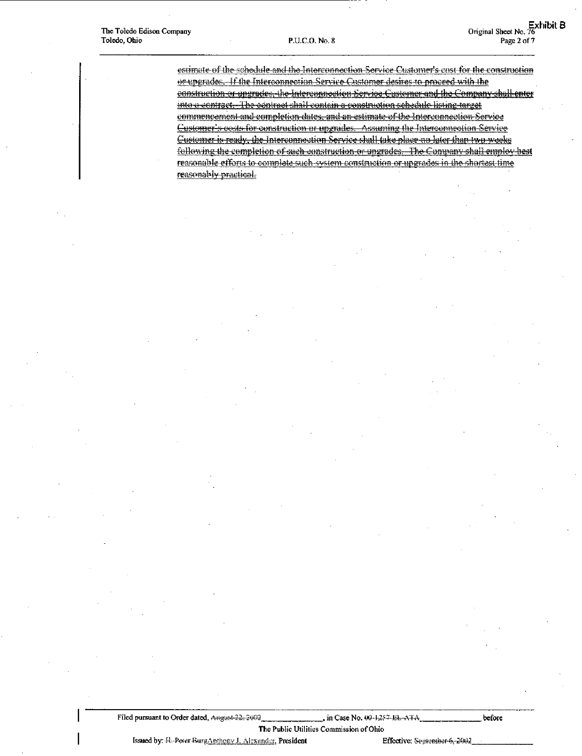estimate of the schedule and the Interconnection Service Customer's cost for the construction or upgrades. If the Interconnection Service Customer desires to proceed with the construction or ungrades, the Interconnection Service Customer and the Company shall enter into a contract. The contract shall contain a construction schedule listing target commencement and completion dates, and an estimate of the Interconnection Service Customer's costs for construction or upgrades. Assuming the Interconnection Service Customer is ready, the Interconnection Service shall take place ao later than two weeks following the completion of such construction or upgrades. The Company shall employ best reasonable efforts to complete such system construction or upgrades in the shortest time reasonably practical.

Filed pursuant to Order dated, Aregust-22, 2002 , in Case No. 00-1254-EL-ATA

The Public Utilities Commission of Ohio

Issued by: H. Peter Burg Anthony J. Alexander, President

Effective: September-6, 2002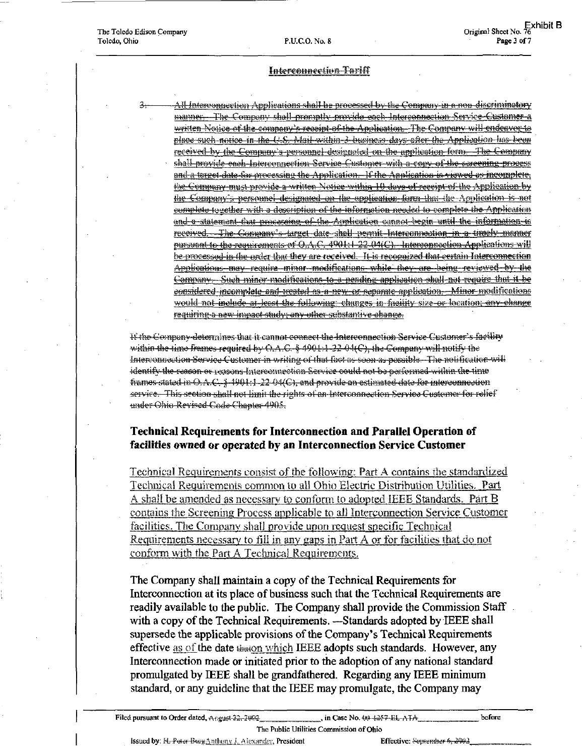All Interconnection Applications shall be processed by the Company in a non-discriminatory manner. The Company shall promptly provide each Interconnection Service Customer a written Notice of the company's receipt of the Application. The Company will endeaver to place such notice in the U.S. Mail within 3 business days after the Application has been received by the Company's personnel designated on the application form. The Company shall provide each Interconnection Service Customer with a copy of the screening process and a terget date for processing the Application. If the Application is viewed as incomplete, the Company must provide a written Notice within 10 days of receipt of the Application by the Company's personnel designated on the application form that the Application is not complete together with a description of the information needed to complete the Application and a statement that processing of the Application cannot begin until the information is received. The Company's target date shall permit Interconnection in a timely manner pursuant to the requirements of O.A.C. 4901:1-22-04(C). Interconnection Applications will be processed in the order that they are received. It is recognized that certain Interconnection Ambications may require minor modifications while they are being reviewed by the Company Such minor modifications to a pending application shall not require that it be considered incomplete and weated as a new or separate application. Minor modifications would not include at least the following: changes in facility size or location; any change requiring a new impact study, any other substantive change.

It the Company determines that it cannot connect the Interconnection Service Customer's facility within the time frames required by C.A.C. § 4901:1-22-04(C), the Compuny will notify the Interconnection Service Customer in writing of that fact as soon as peosible. The notification will identify the reason or reasons Interconnection Service could not be performed within the time frames stated in O.A.C. § 4901:1-22-04(C), and provide an estimated date for interconnection service. This section shall not limit the rights of an Interconnection Service Customer for relief under Ohio Revised Code Chapter 4905.

# **Technical Requirements for Interconnection and Parallel Operation of** facilities owned or operated by an Interconnection Service Customer

Technical Requirements consist of the following: Part A contains the standardized Technical Requirements common to all Obio Electric Distribution Utilities. Part A shall be amended as necessary to conform to adopted IEEE Standards. Part B contains the Screening Process applicable to all Interconnection Service Customer facilities. The Company shall provide upon request specific Technical Requirements necessary to fill in any gaps in Part A or for facilities that do not conform with the Part A Technical Requirements.

The Company shall maintain a copy of the Technical Requirements for Interconnection at its place of business such that the Technical Requirements are readily available to the public. The Company shall provide the Commission Staff with a copy of the Technical Requirements. —Standards adopted by IEEE shall supersede the applicable provisions of the Company's Technical Requirements effective as of the date  $\frac{1}{2}$  the date  $\frac{1}{2}$  theory which IEEE adopts such standards. However, any Interconnection made or initiated prior to the adoption of any national standard promulgated by IEEE shall be grandfathered. Regarding any IEEE minimum standard, or any guideline that the IEEE may promulgate, the Company may

Issued by: H. Poter Burg Anthony J. Alexander, President

Effective: September 6, 2002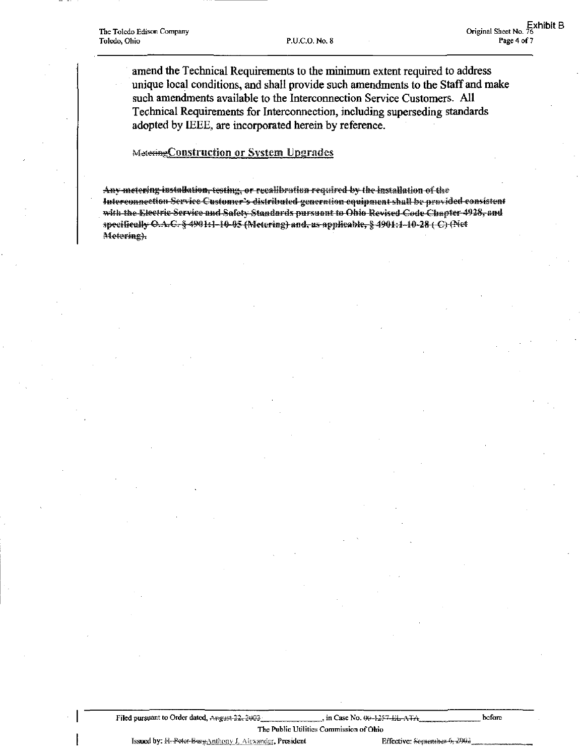amend the Technical Requirements to the minimum extent required to address unique local conditions, and shall provide such amendments to the Staff and make such amendments available to the Interconnection Service Customers, All Technical Requirements for Interconnection, including superseding standards adopted by IEEE, are incorporated herein by reference.

# Metering Construction or System Upgrades

Any metering installation, testing, or recalibration required by the installation of the Interconnection Service Customer's distributed generation equipment shall be provided consistent with the Electric Service and Safety Standards pursuant to Ohio Revised Code Chapter 4928, and specifically O.A.C. § 4901:1-10-05 (Metering) and, as applicable, § 4901:1-10-28 (C) (Net Metering).

Filed pursuant to Order dated, AHgust-32, 3063, in Case No. 60. 60. 60. in Case No. 43, in Case No. in Case No. 604, in Case No. 604, in Case No. 60, in Case No. 60, in Case No. 60, in Case No. 43, in Case No. 43, in Case The Public Utilities Commission of Ohio

Issued by:  $H$ --Potot-Burg Anthony J. Alcxander. President Effective: September-6, 2003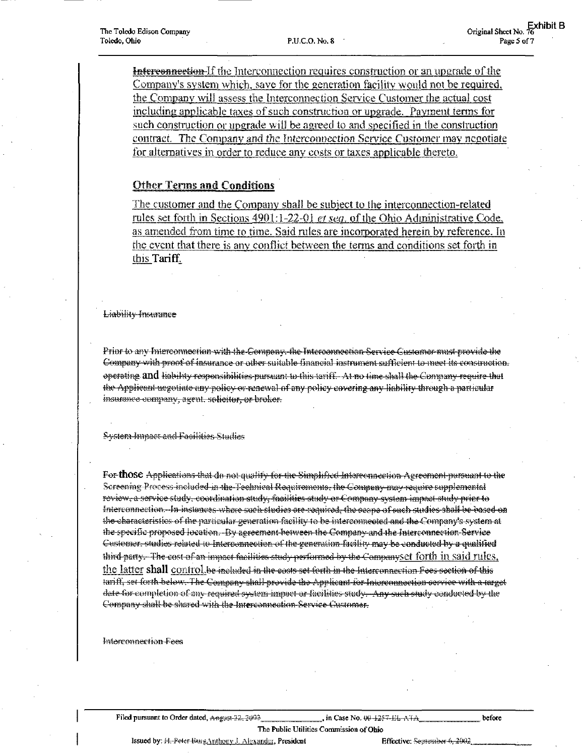**Interconnection** If the Interconnection requires construction or an upgrade of the Company's system which, save for the generation facility would not be required. the Company will assess the Interconnection Service Customer the actual cost including applicable taxes of such construction or upgrade. Payment terms for such construction or upgrade will be agreed to and specified in the construction contract. The Company and the Interconnection Service Customer may negotiate for alternatives in order to reduce any costs or taxes applicable thereto.

# **Other Terms and Conditions**

The customer and the Company shall be subject to the interconnection-related rules set forth in Sections 4901:1-22-01 et seq. of the Ohio Administrative Code. as amended from time to time. Said rules are incorporated herein by reference. In the event that there is any conflict between the terms and conditions set forth in this Tariff.

Liability-Incurance

Prior to any Interconnection with the Company, the Interconnection Service Customer must provide the Company with proof of insurance or other suitable financial instrument sufficient to meet its construction. operating and hability responsibilities pursuant to this tariff. At no time shall the Company require that the Applicant negotiate any policy or renewal of any policy covering any liability through a particular insurance company, agent. solicitor, or broker.

System-Impact and Facilities Studies

For those Applications that do not quality for the Simplified Interconnection Agreement pursuant to the Screening Process-included in the Technical Requirements, the Company may require supplemental review, a service study, coordination study, facilities study or Company system impact study prior to Interconnection. In instances where such studies are required, the ecope of such studies shall be based on the characteristics of the particular generation facility to be interconnected and the Company's system at the specific proposed location. Dv agreement between the Company and the Interconnection Service Customer, studies related to Interconnection of the generation facility may be conducted by a qualified third party. The cost of an inmact facilities study performed by the Companyset forth in said rules, the latter shall control be included in the costs set forth in the Interconnection Fees section of this tariff, set forth below. The Company shall provide the Applicant for Interconnection corvice with a target date for completion of any required system impact or facilities study. Any such study conducted by the Company shall be shared with the Interconnection Service Customer.

**Interconnection Fees** 

Filed pursuant to Order dated, Angust 32, 3003

in Case No. 00-1257-EL-ATA

before

The Public Utilities Commission of Ohio Issued by: H. Peter Burg Anthony J. Alexander, President

Effective: Segrember 6, 2002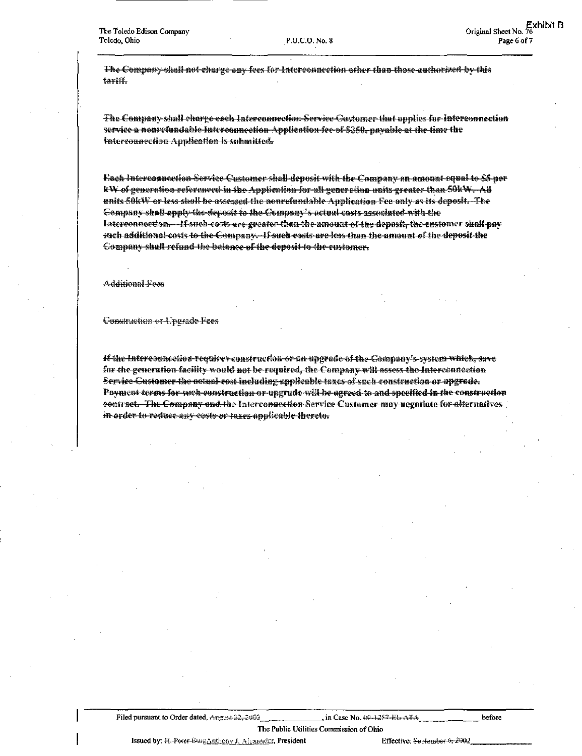The Company shall not charge any fees for Interconnection other than those authorized by this tariti.

The Company shall charge each Interconnection Service Customer that applies for Interconnection service a nonrefundable Interesuncetion Application fee of \$250, payable at the time the Interconnection Application is submitted.

Each Interconnection Service Customer shall deposit with the Company an amount 1984 to \$5 per kW of generation referenced in the Application for all generation units greater than 50kW. All units SOkW or less shall be assessed the nonrefundable Application Fee only as its deposit. The Company shall apply the deposit to the Company's actual casts associated with the Interconnection.—If such costs are greater than the amount of the deposit, the customer shall pay such additional costs to the Company. If such costs are less than the amount of the deposit the Company shull refund the balance of the deposit to the customer.

Additional Fees

Construction or Upgrade Fees

If the Interconnection requires construction or an upgrade of the Company's system which, save for the generation facility would not be required, the Company will assess the Interconnection Service Customer the actual cost including applicable taxes of such construction or upgrade. Payment terms for such construction or upgrade will be agreed to and specified in the construction contract. The Company and the Interconnection Service Customer may negatiate for alternatives in order to reduce any costs or taxes applicable thereto.

Filed pursuant to Order dated, Angust 22, 2002.

in Case No. 60-1-257-151-4-7-4

The Public Utilities Commission of Ohio Issued by: R. Peter Burg Anthony J. Alexander, President

Effective: September-6, 2002.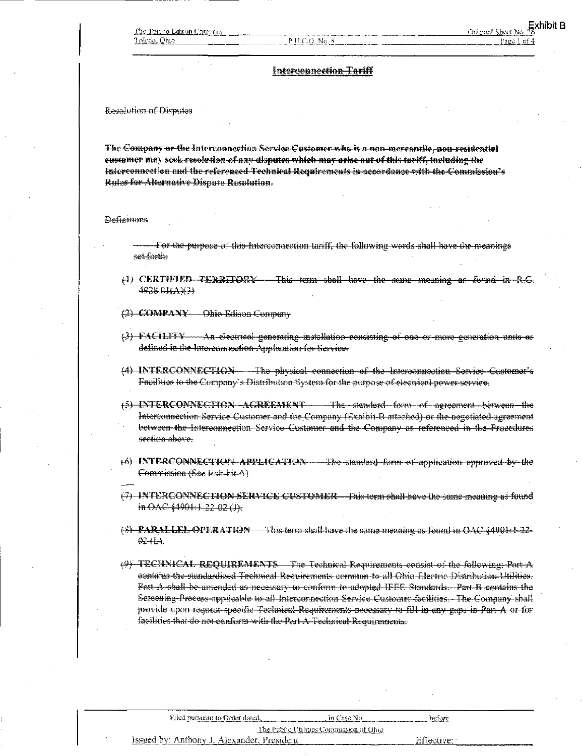#### P.U.C.O. No. 8

# Interconnection Tariff

Resolution of Disputes

The Company or the Interconnection Service Customer who is a non-mercantile, non-residential customer may seek resolution of any disputes which may arise out of this tariff, including the Interconnection and the referenced Technical Requirements in accordance with the Commission's Rules-for Alternative Dispute Resolution.

**Definitions** 

- For the purpose of this Interconnection tariff, the following words shall have the meanings set forth.
- (1) CERTIFIED TERRITORY This term shall have the same meaning as found in R.C. 4928.0HAK33
- (2) COMPANY Ohio Edison Company
- (3) FACILITY An electrical generating installation consisting of one or more generation units as defined in the Interconnoction Application for Service.
- (4) INTERCONNECTION——The physical connection of the Interconnection Service Customer's Facilities to the Company's Distribution System for the purpose of electrical power service.
- (5) INTERCONNECTION AGREEMENT The standard form of agreement between the Interconnection Service Customer and the Company (Exhibit-B attached) or the negotiated agreement between the Interconnection Service Customer and the Company as referenced in the Procedures seehan above.
- (6) INTERCONNECTION APPLICATION The standard form of application approved by the Commission (See Exhibit A).
- (7) INTERCONNECTION SERVICE CUSTOMER—This term shall have the same meaning as found in OAC §4901:1-22-02 (J).
- $(8)$  PARALLEL OPERATION This term shall have the same meaning as found in OAC  $\S 4901:1-22 02(1)$ .
- (9) TECHNICAL REQUIREMENTS The Technical Requirements consist of the following: Part A contains the standardized Technical Requirements common to all Ohio Electric Distribution Utilition. Pest A shall be amended as necessary to conform to adopted IFFE Standards. Part B contains the Sereening-Process-applicable to all Interconnection Service Customer-facilities. The Company shall provide upon request specific Fechnical Requirements necessary to fill in any gups in Part A or for facilities that do not conform with the Part A Technical Requirements.

|                                         | Filed pursuant to Order dated.             | . m Caso No. | betore                                                                                                                        |  |
|-----------------------------------------|--------------------------------------------|--------------|-------------------------------------------------------------------------------------------------------------------------------|--|
| The Public Utilities Commission of Ohio |                                            |              |                                                                                                                               |  |
|                                         | Issued by: Anthony J. Alexander, President |              | – Effective<br>the comment of the comment and comment and comment of the comment of the comment of the comment of the comment |  |
|                                         |                                            |              |                                                                                                                               |  |